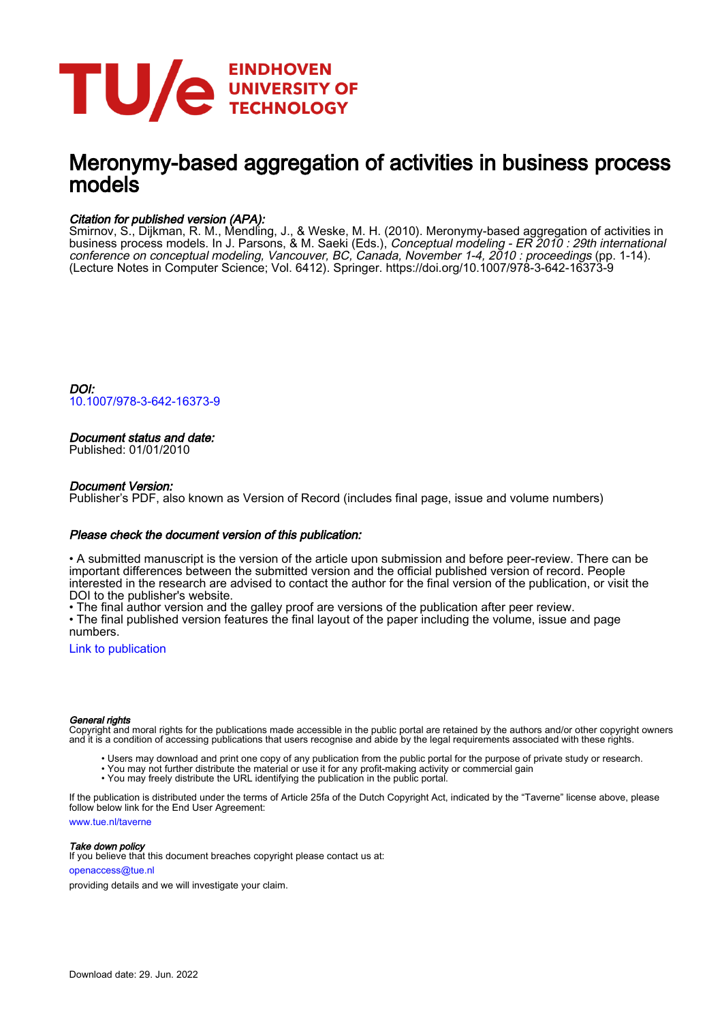

# Meronymy-based aggregation of activities in business process models

# Citation for published version (APA):

Smirnov, S., Dijkman, R. M., Mendling, J., & Weske, M. H. (2010). Meronymy-based aggregation of activities in business process models. In J. Parsons, & M. Saeki (Eds.), *Conceptual modeling - ER 2010 : 29th international* conference on conceptual modeling, Vancouver, BC, Canada, November 1-4, 2010 : proceedings (pp. 1-14). (Lecture Notes in Computer Science; Vol. 6412). Springer.<https://doi.org/10.1007/978-3-642-16373-9>

DOI: [10.1007/978-3-642-16373-9](https://doi.org/10.1007/978-3-642-16373-9)

# Document status and date:

Published: 01/01/2010

#### Document Version:

Publisher's PDF, also known as Version of Record (includes final page, issue and volume numbers)

#### Please check the document version of this publication:

• A submitted manuscript is the version of the article upon submission and before peer-review. There can be important differences between the submitted version and the official published version of record. People interested in the research are advised to contact the author for the final version of the publication, or visit the DOI to the publisher's website.

• The final author version and the galley proof are versions of the publication after peer review.

• The final published version features the final layout of the paper including the volume, issue and page numbers.

[Link to publication](https://research.tue.nl/en/publications/cf0ad80b-8be3-4e63-99a8-963219f85d6d)

#### General rights

Copyright and moral rights for the publications made accessible in the public portal are retained by the authors and/or other copyright owners and it is a condition of accessing publications that users recognise and abide by the legal requirements associated with these rights.

- Users may download and print one copy of any publication from the public portal for the purpose of private study or research.
- You may not further distribute the material or use it for any profit-making activity or commercial gain
- You may freely distribute the URL identifying the publication in the public portal.

If the publication is distributed under the terms of Article 25fa of the Dutch Copyright Act, indicated by the "Taverne" license above, please follow below link for the End User Agreement:

www.tue.nl/taverne

**Take down policy**<br>If you believe that this document breaches copyright please contact us at:

openaccess@tue.nl

providing details and we will investigate your claim.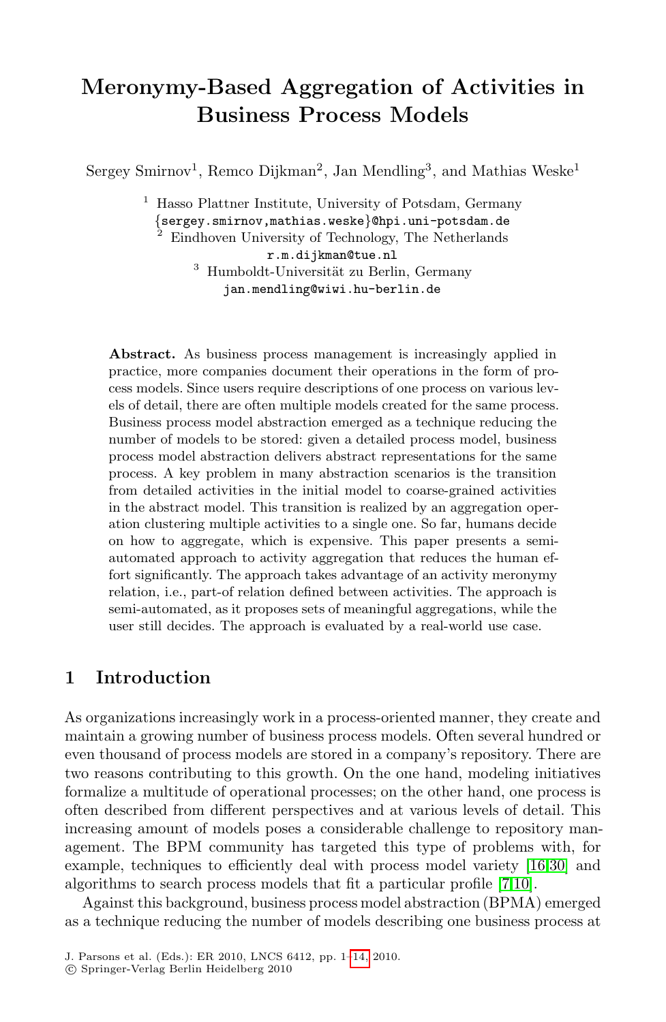# **Meronymy-Based Aggregation of Activities in Business Process Models**

Sergey Smirnov<sup>1</sup>, Remco Dijkman<sup>2</sup>, Jan Mendling<sup>3</sup>, and Mathias Weske<sup>1</sup>

<sup>1</sup> Hasso Plattner Institute, University of Potsdam, Germany {sergey.smirnov,mathias.weske}@hpi.uni-potsdam.de Eindhoven University of Technology, The Netherlands r.m.dijkman@tue.nl  $3$  Humboldt-Universität zu Berlin, Germany

jan.mendling@wiwi.hu-berlin.de

**Abstract.** As business process management is increasingly applied in practice, more companies document their operations in the form of process models. Since users require descriptions of one process on various levels of detail, there are often multiple models created for the same process. Business process model abstraction emerged as a technique reducing the number of models to be stored: given a detailed process model, business process model abstraction delivers abstract representations for the same process. A key problem in many abstraction scenarios is the transition from detailed activities in the initial model to coarse-grained activities in the abstract model. This transition is realized by an aggregation operation clustering multiple activities to a single one. So far, humans decide on how to aggregate, which is expensive. This paper presents a semiautomated approach to activity aggregation that reduces the human effort significantly. The approach takes advantage of an activity meronymy relation, i.e., part-of relation defined between activities. The approach is semi-automated, as it proposes sets of meaningful aggregations, while the user still decides. The approach is evaluated by a real-world use case.

# **1 Introduction**

As organizations increasingly work in a process-ori[ent](#page-14-0)[ed m](#page-14-1)anner, they create and maintain a growing number of business proces[s](#page-13-0) [mod](#page-14-2)els. Often several hundred or even thousand of process models are stored in a company's repository. There are two reasons contributing to this growth. On the one hand, modeling initiatives formalize a multitude of operational processes; on the other hand, one process is often described from d[iffer](#page-14-3)ent perspectives and at various levels of detail. This increasing amount of models poses a considerable challenge to repository management. The BPM community has targeted this type of problems with, for example, techniques to efficiently deal with process model variety [16,30] and algorithms to search process models that fit a particular profile [7,10].

Against this background, business process model abstraction (BPMA) emerged as a technique reducing the number of models describing one business process at

J. Parsons et al. (Eds.): ER 2010, LNCS 6412, pp. 1–14, 2010.

<sup>-</sup>c Springer-Verlag Berlin Heidelberg 2010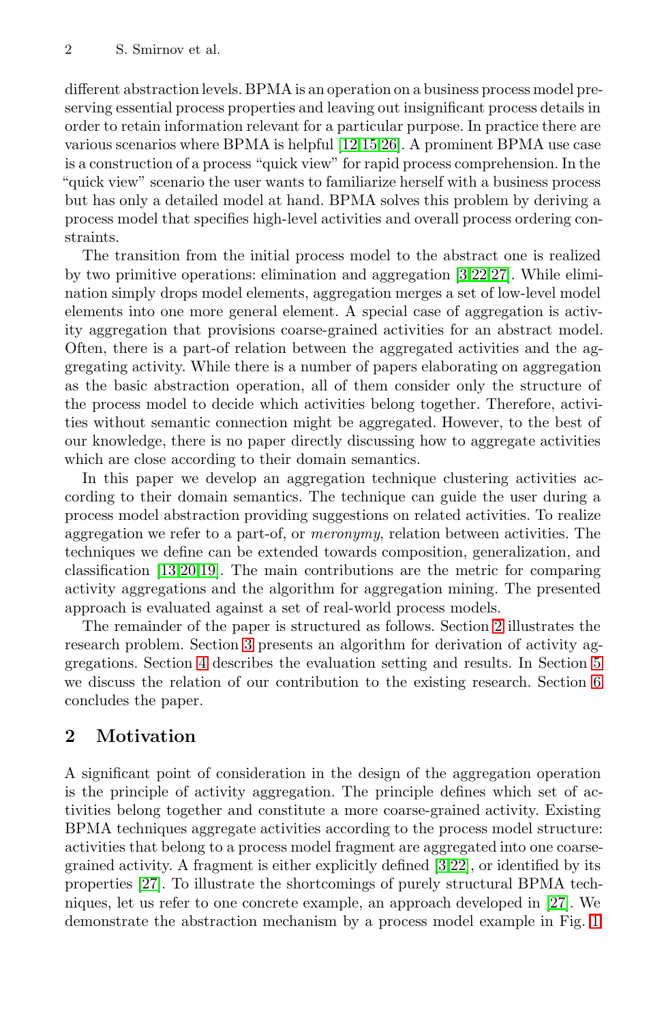different abstraction levels. BPMA is an operation on a business process model preserving essential process properties and leaving out insignificant process details in order to retain information relevant for [a p](#page-13-1)[ar](#page-14-4)[ticu](#page-14-5)lar purpose. In practice there are various scenarios where BPMA is helpful [12,15,26]. A prominent BPMA use case is a construction of a process "quick view" for rapid process comprehension. In the "quick view" scenario the user wants to familiarize herself with a business process but has only a detailed model at hand. BPMA solves this problem by deriving a process model that specifies high-level activities and overall process ordering constraints.

The transition from the initial process model to the abstract one is realized by two primitive operations: elimination and aggregation [3,22,27]. While elimination simply drops model elements, aggregation merges a set of low-level model elements into one more general element. A special case of aggregation is activity aggregation that provisions coarse-grained activities for an abstract model. Often, there is a part-of relation between the aggregated activities and the aggregating activity. While there is a number of papers elaborating on aggregation as the basic abstraction operation, all of them consider only the structure of the process model to decide which activities belong together. Therefore, activi[t](#page-14-6)[ies](#page-14-7) without semantic connection might be aggregated. However, to the best of our knowledge, there is no paper directly discussing how to aggregate activities which are close according to their domain semantics.

In this paper we develop an aggregatio[n t](#page-2-0)echnique clustering activities according [t](#page-4-0)o their domain semantics. The technique can guide the user during a [pro](#page-10-0)cess model abstraction providing suggestions on related [ac](#page-11-0)tivities. To realize aggregation we refer to a part-of, or *meronymy*, relation be[tw](#page-13-2)een activities. The techniques we define can be extended towards composition, generalization, and classification [13,20,19]. The main contributions are the metric for comparing activity aggregations and the algorithm for aggregation mining. The presented approach is evaluated against a set of real-world process models.

<span id="page-2-0"></span>The remainder of the paper is structured as follows. Section 2 illustrates the research problem. Section 3 presents an algorithm for derivation of activity aggregations. Section 4 describes the evaluation setting and results. In Section 5 we discuss the relation of our contribution to the existing research. Section 6 concludes the paper.

# **2 Motivation**

A significant point of consideration in the design of [th](#page-14-5)e a[gg](#page-3-0)regation operation is the principle of activity aggregation. The principle defines which set of activities belong together and constitute a more coarse-grained activity. Existing BPMA techniques aggregate activities according to the process model structure: activities that belong to a process model fragment are aggregated into one coarsegrained activity. A fragment is either explicitly defined [3,22], or identified by its properties [27]. To illustrate the shortcomings of purely structural BPMA techniques, let us refer to one concrete example, an approach developed in [27]. We demonstrate the abstraction mechanism by a process model example in Fig. 1.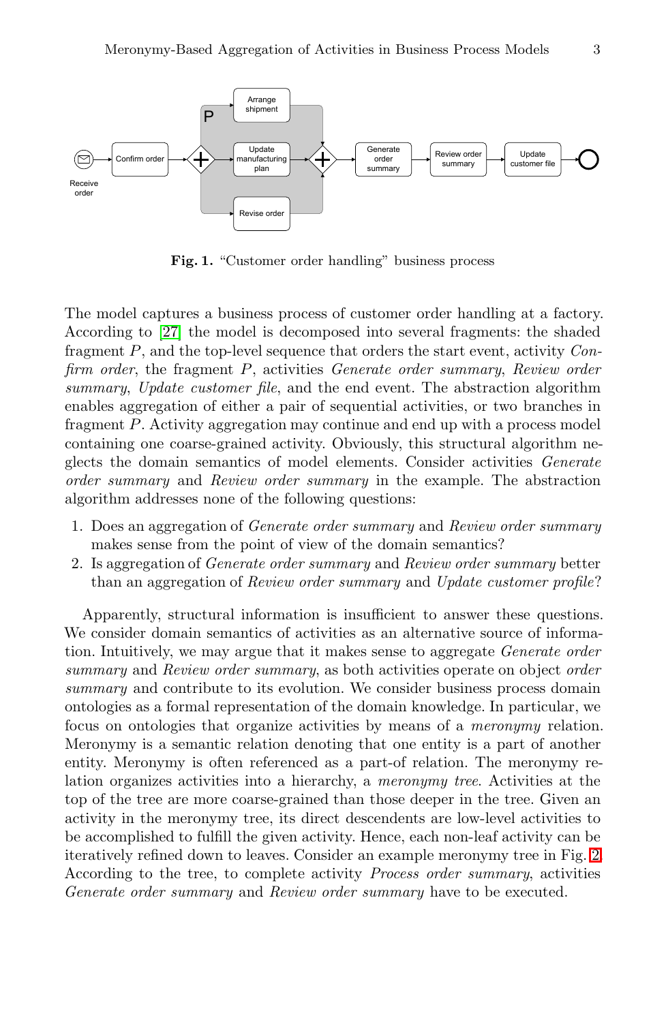

<span id="page-3-0"></span>**Fig. 1.** "Customer order handling" business process

The model captures a business process of customer order handling at a factory. According to [27] the model is decomposed into several fragments: the shaded fragment *P*, and the top-level sequence that orders the start event, activity *Confirm order*, the fragment *P*, activities *Generate order summary*, *Review order summary*, *Update customer file*, and the end event. The abstraction algorithm enables aggregation of either a pair of sequential activities, or two branches in fragment *P*. Activity aggregation may continue and end up with a process model containing one coarse-grained activity. Obviously, this structural algorithm neglects the domain semantics of model elements. Consider activities *Generate order summary* and *Review order summary* in the example. The abstraction algorithm addresses none of the following questions:

- 1. Does an aggregation of *Generate order summary* and *Review order summary* makes sense from the point of view of the domain semantics?
- 2. Is aggregation of *Generate order summary* and *Review order summary* better than an aggregation of *Review order summary* and *Update customer profile*?

Apparently, structural information is insufficient to answer these questions. We consider domain semantics of activities as an alternative source of information. Intuitively, we may argue that it makes sense to aggregate *Generate order summary* and *Review order summary*, as both activities operate on object *order summary* and contribute to its evolution. We consider business process domain ontologies as a formal representation of the domain knowle[dg](#page-4-1)e. In particular, we focus on ontologies that organize activities by means of a *meronymy* relation. Meronymy is a semantic relation denoting that one entity is a part of another entity. Meronymy is often referenced as a part-of relation. The meronymy relation organizes activities into a hierarchy, a *meronymy tree*. Activities at the top of the tree are more coarse-grained than those deeper in the tree. Given an activity in the meronymy tree, its direct descendents are low-level activities to be accomplished to fulfill the given activity. Hence, each non-leaf activity can be iteratively refined down to leaves. Consider an example meronymy tree in Fig. 2. According to the tree, to complete activity *Process order summary*, activities *Generate order summary* and *Review order summary* have to be executed.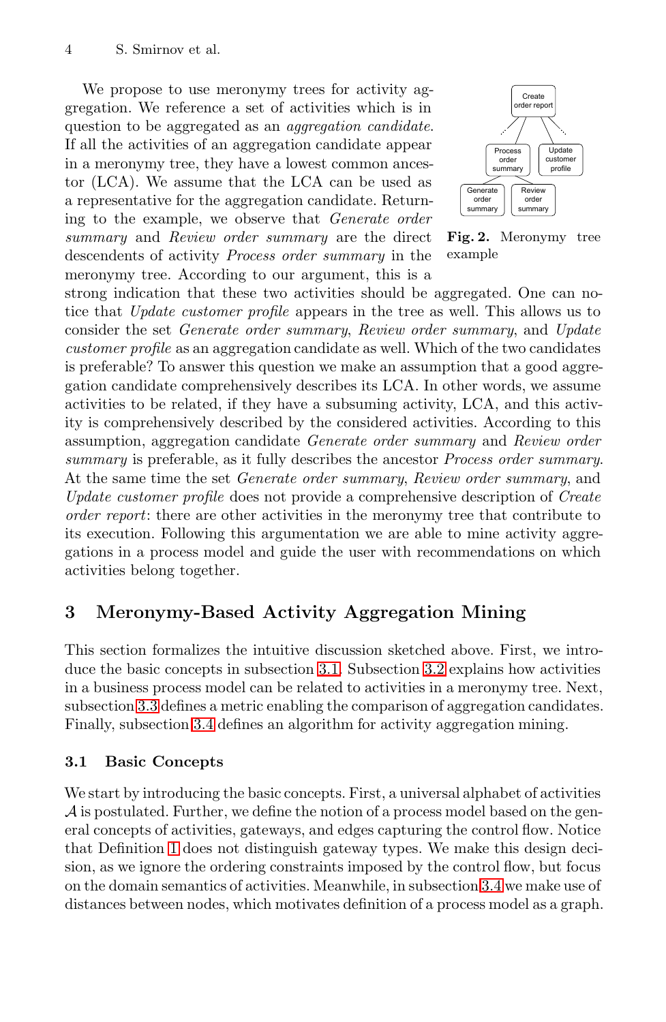We propose to use meronymy trees for activity aggregation. We reference a set of activities which is in question to be aggregated as an *aggregation candidate*. If all the activities of an aggregation candidate appear in a meronymy tree, they have a lowest common ancestor (LCA). We assume that the LCA can be used as a representative for the aggregation candidate. Returning to the example, we observe that *Generate order summary* and *Review order summary* are the direct descendents of activity *Process order summary* in the meronymy tree. According to our argument, this is a

<span id="page-4-1"></span>

**Fig. 2.** Meronymy tree example

strong indication that these two activities should be aggregated. One can notice that *Update customer profile* appears in the tree as well. This allows us to consider the set *Generate order summary*, *Review order summary*, and *Update customer profile* as an aggregation candidate as well. Which of the two candidates is preferable? To answer this question we make an assumption that a good aggregation candidate comprehensively describes its LCA. In other words, we assume activities to be related, if they have a subsuming activity, LCA, and this activity is comprehensively described by the considered activities. According to this assumption, aggregation candidate *Generate order summary* and *Review order summary* is preferable, as it fully describes the ancestor *Process order summary*. At the same time the set *Generate order summary*, *Review order summary*, and *Update customer profile* does not provide a comprehensive description of *Create order report*: there are other activities in the meronymy tree that contribute to its execution. Foll[owin](#page-4-2)g this argu[men](#page-5-0)tation we are able to mine activity aggregations in a process model and guide the user with recommendations on which [acti](#page-8-0)vities belong together.

# <span id="page-4-2"></span><span id="page-4-0"></span>**3 Meronymy-Based Activity Aggregation Mining**

This section formalizes the intuitive discussion sketched above. First, we introduce the basic concepts in subsection 3.1. Subsection 3.2 explains how activities in a business process model can be related to activities in a meronymy tree. Next, subsection 3.3 defines a metric enabling the comparison of aggregation candidates. Finally, subsection 3.4 defines an algorithm for activity aggregation mining.

## **3.1 Basic Concepts**

We start by introducing the basic concepts. First, a universal alphabet of activities A is postulated. Further, we define the notion of a process model based on the general concepts of activities, gateways, and edges capturing the control flow. Notice that Definition 1 does not distinguish gateway types. We make this design decision, as we ignore the ordering constraints imposed by the control flow, but focus on the domain semantics of activities. Meanwhile, in subsection 3.4 we make use of distances between nodes, which motivates definition of a process model as a graph.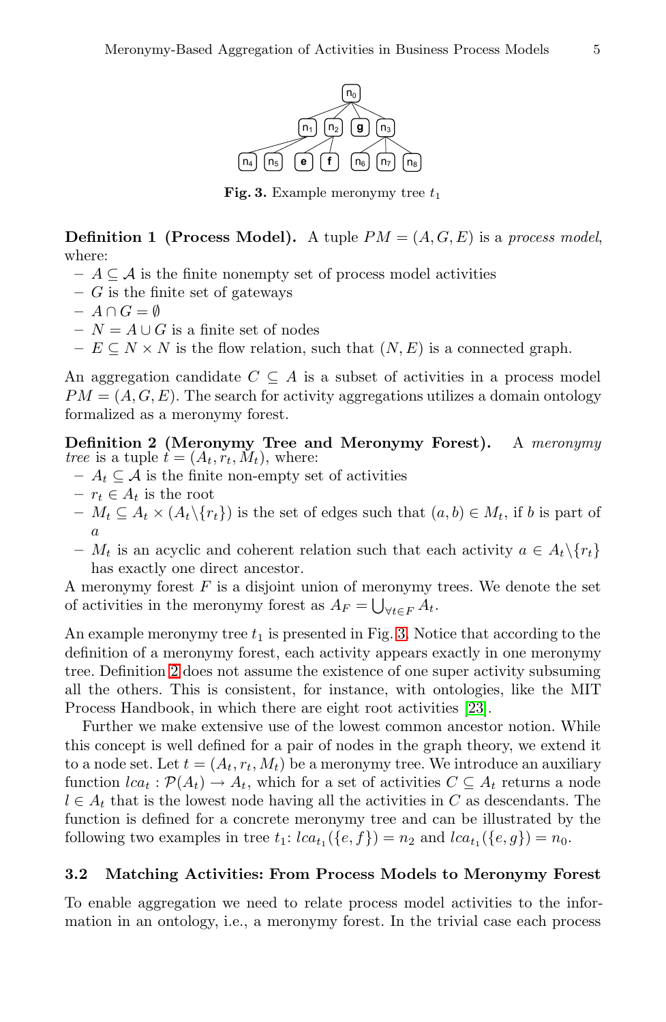<span id="page-5-1"></span>

**Fig. 3.** Example meronymy tree  $t_1$ 

**Definition 1 (Process Model).** A tuple  $PM = (A, G, E)$  is a process model, where:

- **–** *A* ⊆ A is the finite nonempty set of process model activities
- **–** *G* is the finite set of gateways
- $A ∩ G = ∅$
- **–** *N* = *A* ∪ *G* is a finite set of nodes
- $− E ⊆ N × N$  is the flow relation, such that  $(N, E)$  is a connected graph.

An aggregation candidate  $C \subseteq A$  is a subset of activities in a process model  $PM = (A, G, E)$ . The search for activity aggregations utilizes a domain ontology formalized as a meronymy forest.

**Definition 2 (Meronymy Tree and Meronymy Forest).** A *meronymy tree* is a tuple  $\hat{t} = (A_t, r_t, M_t)$ , where:

- **–** *A<sup>t</sup>* ⊆ A is the finite non-empty set of activities
- $− r_t ∈ A_t$  is the root
- *−*  $M_t$  ⊆  $A_t$  ×  $(A_t \setminus \{r_t\})$  is the set of edges such that  $(a, b) \in M_t$ , if *b* is part of *a*
- $M_t$  is an acyclic and coherent relation such that each activity  $a \in A_t \setminus \{r_t\}$ has exactly one direct ancestor.

A meronymy forest *F* is a disjoint union of meronymy trees. We denote the set of activities in the meronymy forest as  $A_F = \bigcup_{\forall t \in F} A_t$ .

An example meronymy tree  $t_1$  is presented in Fig. 3. Notice that according to the definition of a meronymy forest, each activity appears exactly in one meronymy tree. Definition 2 does not assume the existence of one super activity subsuming all the others. This is consistent, for instance, with ontologies, like the MIT Process Handbook, in which there are eight root activities [23].

<span id="page-5-0"></span>Further we make extensive use of the lowest common ancestor notion. While this concept is well defined for a pair of nodes in the graph theory, we extend it to a node set. Let  $t = (A_t, r_t, M_t)$  be a meronymy tree. We introduce an auxiliary function  $lca_t$ :  $\mathcal{P}(A_t) \to A_t$ , which for a set of activities  $C \subseteq A_t$  returns a node  $l \in A_t$  that is the lowest node having all the activities in *C* as descendants. The function is defined for a concrete meronymy tree and can be illustrated by the following two examples in tree  $t_1$ :  $lca_{t_1}({e, f}) = n_2$  and  $lca_{t_1}({e, g}) = n_0$ .

#### **3.2 Matching Activities: From Process Models to Meronymy Forest**

To enable aggregation we need to relate process model activities to the information in an ontology, i.e., a meronymy forest. In the trivial case each process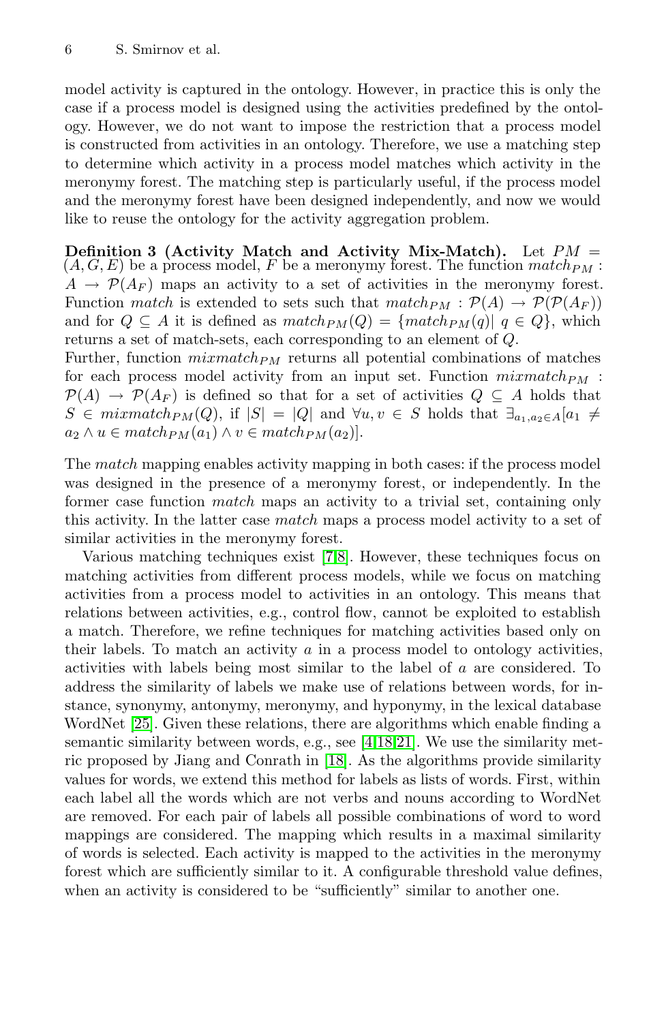model activity is captured in the ontology. However, in practice this is only the case if a process model is designed using the activities predefined by the ontology. However, we do not want to impose the restriction that a process model is constructed from activities in an ontology. Therefore, we use a matching step to determine which activity in a process model matches which activity in the meronymy forest. The matching step is particularly useful, if the process model and the meronymy forest have been designed independently, and now we would like to reuse the ontology for the activity aggregation problem.

**Definition 3 (Activity Match and Activity Mix-Match).** Let  $PM = (A, G, E)$  be a process model, *F* be a meronymy forest. The function *matchPM* :  $A \rightarrow \mathcal{P}(A_F)$  maps an activity to a set of activities in the meronymy forest. Function *match* is extended to sets such that  $match_{PM} : \mathcal{P}(A) \rightarrow \mathcal{P}(\mathcal{P}(A_F))$ and for  $Q \subseteq A$  it is defined as  $match_{PM}(Q) = \{match_{PM}(q) | q \in Q\}$ , which returns a set of match-sets, each corresponding to an element of *Q*.

Further, function *mixmatchPM* returns all potential combinations of matches for each process model activity from an input set. Function *mixmatchPM* :  $\mathcal{P}(A) \to \mathcal{P}(A_F)$  is defined so that for a set of activities  $Q \subseteq A$  holds that  $S \in mixmatch_{PM}(Q)$  $S \in mixmatch_{PM}(Q)$  $S \in mixmatch_{PM}(Q)$ , if  $|S| = |Q|$  and  $\forall u, v \in S$  holds that  $\exists_{a_1, a_2 \in A}[a_1 \neq a_2]$  $a_2 \land u$  ∈ *match* $PM(a_1) \land v$  ∈ *match* $PM(a_2)$ ].

The *match* mapping enables activity mapping in both cases: if the process model was designed in the presence of a meronymy forest, or independently. In the former case function *match* maps an activity to a trivial set, containing only this activity. In the latter case *match* maps a process model activity to a set of similar activities in the meronymy forest.

Various matching techniques exist [7,8]. However, these techniques focus on matching activities from different process models, while we focus on matching activities from a process[mod](#page-14-8)[el](#page-14-9) to activities in an ontology. This means that relations between a[ctiv](#page-14-8)ities, e.g., control flow, cannot be exploited to establish a match. Therefore, we refine techniques for matching activities based only on their labels. To match an activity *a* in a process model to ontology activities, activities with labels being most similar to the label of *a* are considered. To address the similarity of labels we make use of relations between words, for instance, synonymy, antonymy, meronymy, and hyponymy, in the lexical database WordNet [25]. Given these relations, there are algorithms which enable finding a semantic similarity between words, e.g., see [4,18,21]. We use the similarity metric proposed by Jiang and Conrath in [18]. As the algorithms provide similarity values for words, we extend this method for labels as lists of words. First, within each label all the words which are not verbs and nouns according to WordNet are removed. For each pair of labels all possible combinations of word to word mappings are considered. The mapping which results in a maximal similarity of words is selected. Each activity is mapped to the activities in the meronymy forest which are sufficiently similar to it. A configurable threshold value defines, when an activity is considered to be "sufficiently" similar to another one.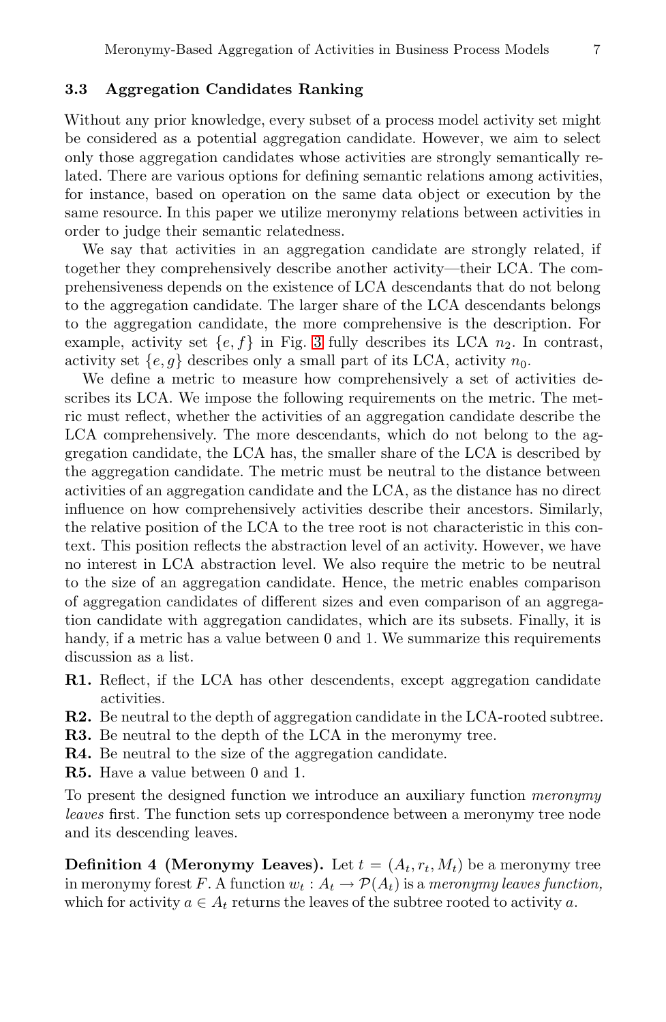#### **3.3 Aggregation Candidates Ranking**

Without any prior knowledge, every subset of a process model activity set might be considered as a potential aggregation candidate. However, we aim to select only those aggregation candidates whose activities are strongly semantically related. There are various options for defining semantic relations among activities, for instance, base[d](#page-5-1) on operation on the same data object or execution by the same resource. In this paper we utilize meronymy relations between activities in order to judge their semantic relatedness.

We say that activities in an aggregation candidate are strongly related, if together they comprehensively describe another activity—their LCA. The comprehensiveness depends on the existence of LCA descendants that do not belong to the aggregation candidate. The larger share of the LCA descendants belongs to the aggregation candidate, the more comprehensive is the description. For example, activity set  $\{e, f\}$  in Fig. 3 fully describes its LCA  $n_2$ . In contrast, activity set  $\{e, q\}$  describes only a small part of its LCA, activity  $n_0$ .

We define a metric to measure how comprehensively a set of activities describes its LCA. We impose the following requirements on the metric. The metric must reflect, whether the activities of an aggregation candidate describe the LCA comprehensively. The more descendants, which do not belong to the aggregation candidate, the LCA has, the smaller share of the LCA is described by the aggregation candidate. The metric must be neutral to the distance between activities of an aggregation candidate and the LCA, as the distance has no direct influence on how comprehensively activities describe their ancestors. Similarly, the relative position of the LCA to the tree root is not characteristic in this context. This position reflects the abstraction level of an activity. However, we have no interest in LCA abstraction level. We also require the metric to be neutral to the size of an aggregation candidate. Hence, the metric enables comparison of aggregation candidates of different sizes and even comparison of an aggregation candidate with aggregation candidates, which are its subsets. Finally, it is handy, if a metric has a value between 0 and 1. We summarize this requirements discussion as a list.

- **R1.** Reflect, if the LCA has other descendents, except aggregation candidate activities.
- **R2.** Be neutral to the depth of aggregation candidate in the LCA-rooted subtree.
- **R3.** Be neutral to the depth of the LCA in the meronymy tree.
- **R4.** Be neutral to the size of the aggregation candidate.

**R5.** Have a value between 0 and 1.

To present the designed function we introduce an auxiliary function *meronymy leaves* first. The function sets up correspondence between a meronymy tree node and its descending leaves.

**Definition 4 (Meronymy Leaves).** Let  $t = (A_t, r_t, M_t)$  be a meronymy tree in meronymy forest *F*. A function  $w_t : A_t \to \mathcal{P}(A_t)$  is a *meronymy leaves function*, which for activity  $a \in A_t$  returns the leaves of the subtree rooted to activity a.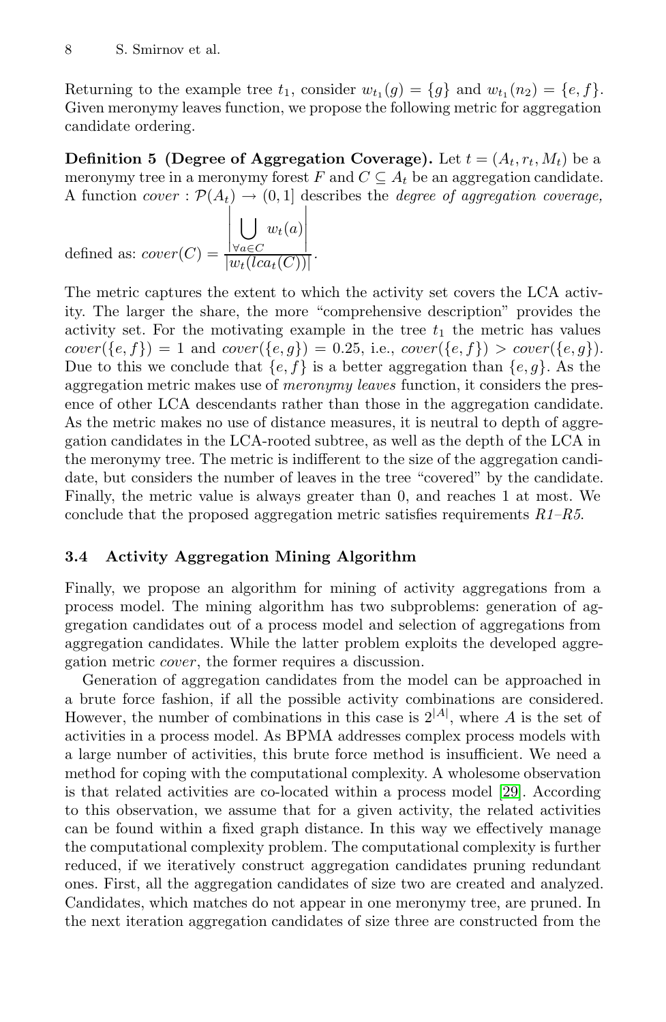Returning to the example tree  $t_1$ , consider  $w_{t_1}(g) = \{g\}$  and  $w_{t_1}(n_2) = \{e, f\}.$ Given meronymy leaves function, we propose the following metric for aggregation candidate ordering.

**Definition 5 (Degree of Aggregation Coverage).** Let  $t = (A_t, r_t, M_t)$  be a meronymy tree in a meronymy forest *F* and  $C \subseteq A_t$  be an aggregation candidate. A function  $cover : \mathcal{P}(A_t) \rightarrow (0,1]$  describes the *degree of aggregation coverage*,

defined as:  $cover(C) =$   $\vert \ \ \vert$ ∀*a*∈*C wt*(*a*)  $\overline{\phantom{a}}$  $\frac{|\forall a \in C}{|w_t(lca_t(C))|}$ .

<span id="page-8-0"></span>The metric captures the extent to which the activity set covers the LCA activity. The larger the share, the more "comprehensive description" provides the activity set. For the motivating example in the tree  $t_1$  the metric has values  $cover({e, f}) = 1$  and  $cover({e, g}) = 0.25$ , i.e.,  $cover({e, f}) > cover({e, g})$ . Due to this we conclude that  ${e, f}$  is a better aggregation than  ${e, g}$ . As the aggregation metric makes use of *meronymy leaves* function, it considers the presence of other LCA descendants rather than those in the aggregation candidate. As the metric makes no use of distance measures, it is neutral to depth of aggregation candidates in the LCA-rooted subtree, as well as the depth of the LCA in the meronymy tree. The metric is indifferent to the size of the aggregation candidate, but considers the number of leaves in the tree "covered" by the candidate. Finally, the metric value is always greater than 0, and reaches 1 at most. We conclude that the proposed aggregation metric satisfies requirements *R1–R5*.

#### **3.4 Activity Aggregation Mining Algorithm**

Finally, we propose an algorithm for mining of activity aggregations from a process model. The mining algorithm has two subproblems: generation of aggregation candidates out of a process model and selection of aggregations from aggregation candidates. While the latter pro[blem](#page-14-10) exploits the developed aggregation metric *cover*, the former requires a discussion.

Generation of aggregation candidates from the model can be approached in a brute force fashion, if all the possible activity combinations are considered. However, the number of combinations in this case is  $2^{|A|}$ , where A is the set of activities in a process model. As BPMA addresses complex process models with a large number of activities, this brute force method is insufficient. We need a method for coping with the computational complexity. A wholesome observation is that related activities are co-located within a process model [29]. According to this observation, we assume that for a given activity, the related activities can be found within a fixed graph distance. In this way we effectively manage the computational complexity problem. The computational complexity is further reduced, if we iteratively construct aggregation candidates pruning redundant ones. First, all the aggregation candidates of size two are created and analyzed. Candidates, which matches do not appear in one meronymy tree, are pruned. In the next iteration aggregation candidates of size three are constructed from the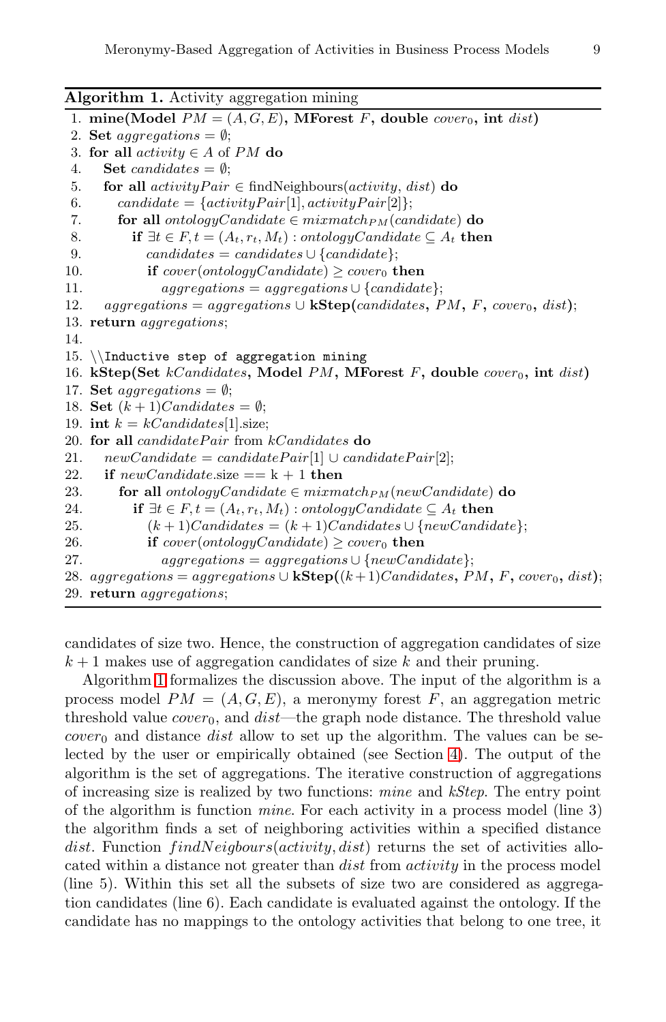# **Algorithm 1.** Activity aggregation mining

1. **mine**(Model  $PM = (A, G, E)$ , MForest *F*, double *cover*<sub>0</sub>, int *dist*) 2. **Set** *aggregations* =  $\emptyset$ ; 3. **for all**  $activity \in A$  of  $PM$  **do** 4. **Set** *candidates* =  $\emptyset$ ; 5. **for all**  $activityPair \in findNeighbors(activity, dist)$  **do** 6. *candidate* = { $activity Pair[1]$ *, activityPair*[2]}; 7. **for all**  $\text{onto } \text{log}y\text{.}$  *Candidate*  $\in \text{min} \text{not } \text{ch}_{PM}(\text{candidate})$  **do** 8. **if**  $\exists t \in F, t = (A_t, r_t, M_t)$ : *ontologyCandidate*  $\subseteq A_t$  **then**<br>9. *candidates* = *candidates*  $\cup$  {*candidate*}:  $candidates = candidates \cup {candidate};$ 10. **if**  $cover(ontologyCandidate) \geq cover_0$  **then** 11. *aggregations* = *aggregations* ∪ {*candidate*}; 12. *aggregations* = *aggregations*  $\cup$  **kStep**(*candidates*, *PM*, *F*, *cover*<sub>0</sub>, *dist*); 13. **return** *aggregations*; 14. 15. \\Inductive step of aggregation mining 16. **kStep(Set** *kCandidates***, Model** *PM***, MForest** *F***, double** *cover*0**, int** *dist***)** 17. **Set** *aggregations* =  $\emptyset$ ; 18. **Set**  $(k+1)$ *Candidates* =  $\emptyset$ ; 19. **int**  $k = kC \text{ and } \text{ } i \text{,}$  k =  $kC \text{ and } \text{ } i \text{,}$  k =  $kC \text{ and } \text{ } i \text{,}$  k =  $k \text{.}$ 20. **for all** *candidateP air* from *kCandidates* **do** 21.  $newC and *idate* = candidatePair[1] \cup candidatePair[2];$ 22. **if**  $newCandidate.size == k + 1$  **then** 23. **for all**  $\text{onto } \text{log}y\text{.}$  *Candidate*  $\in \text{minmatch}_{PM}(\text{newC} \text{.} \text{and} \text{.} \text{).}$ 24. **if**  $\exists t \in F, t = (A_t, r_t, M_t)$ : *ontologyCandidate*  $\subseteq A_t$  **then** 25.  $(k+1)$ *Candidates* =  $(k+1)$ *Candidates* ∪ { $newC andide$ }; 26. **if**  $cover(ontologyCandidate) \geq cover_0$  **then**<br>27. *aggregations* = *aggregations*  $\cup$  {*newCan*  $aggregations = aggregations \cup \{newCandidate\};$ 28. *aggregations* = *aggregations*  $\cup$  **kStep**(( $k+1$ )*Candidates*, *PM*, *F*, *cover*<sub>0</sub>, *dist*); 29. **return** *aggregations*;

candidates of size two. Hence, the construction of aggregation candidates of size  $k+1$  makes use of aggregation candidates of size  $k$  and their pruning.

Algorithm 1 formalizes the discussion above. The input of the algorithm is a process model  $PM = (A, G, E)$ , a meronymy forest *F*, an aggregation metric threshold value  $cover_0$ , and  $dist$ —the graph node distance. The threshold value *cover*<sup>0</sup> and distance *dist* allow to set up the algorithm. The values can be selected by the user or empirically obtained (see Section 4). The output of the algorithm is the set of aggregations. The iterative construction of aggregations of increasing size is realized by two functions: *mine* and *kStep*. The entry point of the algorithm is function *mine*. For each activity in a process model (line 3) the algorithm finds a set of neighboring activities within a specified distance dist. Function  $findNeigbours(activity, dist)$  returns the set of activities allocated within a distance not greater than *dist* from *activity* in the process model (line 5). Within this set all the subsets of size two are considered as aggregation candidates (line 6). Each candidate is evaluated against the ontology. If the candidate has no mappings to the ontology activities that belong to one tree, it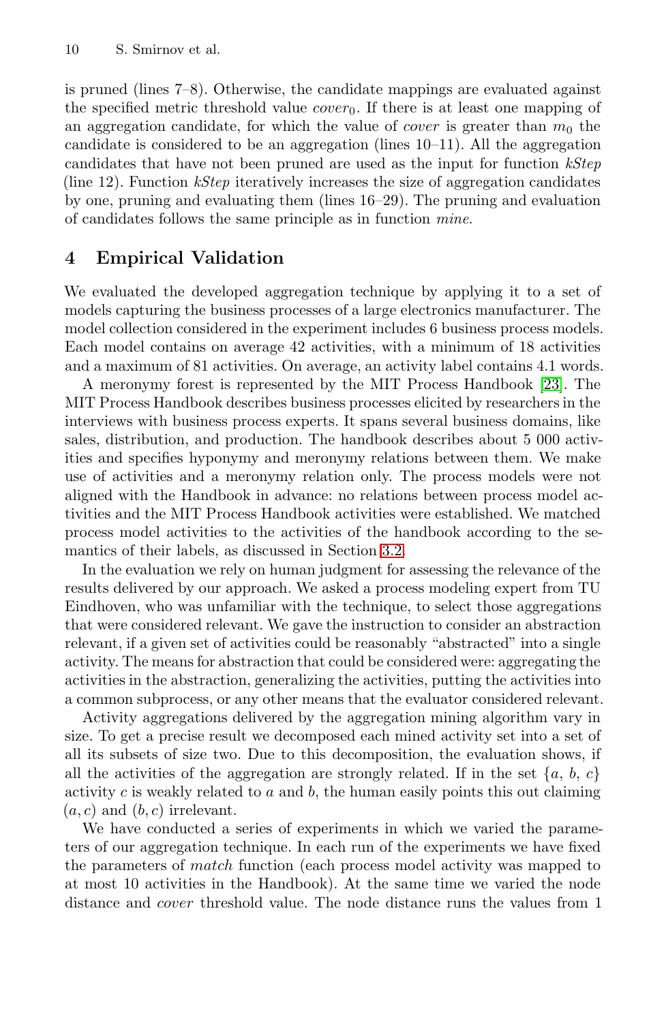<span id="page-10-0"></span>is pruned (lines 7–8). Otherwise, the candidate mappings are evaluated against the specified metric threshold value  $cover_0$ . If there is at least one mapping of an aggregation candidate, for which the value of *cover* is greater than  $m_0$  the candidate is considered to be an aggregation (lines 10–11). All the aggregation candidates that have not been pruned are used as the input for function *kStep* (line 12). Function *kStep* iteratively increases the size of aggregation candidates by one, pruning and evaluating them (lines 16–29). The pruning and evaluation of candidates follows the same principle as in function *mine*.

### **4 Empirical Validation**

We evaluated the developed aggregation technique by applying it to a set of models capturing the business processes of a large electronics manufacturer. The model collection considered in the experiment includes 6 business process models. Each model contains on average 42 activities, with a minimum of 18 activities and a maximum of 81 activities. On average, an activity label contains 4.1 words.

A meronymy forest is represented by the MIT Process Handbook [23]. The MIT Process Handbook des[cribe](#page-5-0)s business processes elicited by researchers in the interviews with business process experts. It spans several business domains, like sales, distribution, and production. The handbook describes about 5 000 activities and specifies hyponymy and meronymy relations between them. We make use of activities and a meronymy relation only. The process models were not aligned with the Handbook in advance: no relations between process model activities and the MIT Process Handbook activities were established. We matched process model activities to the activities of the handbook according to the semantics of their labels, as discussed in Section 3.2.

In the evaluation we rely on human judgment for assessing the relevance of the results delivered by our approach. We asked a process modeling expert from TU Eindhoven, who was unfamiliar with the technique, to select those aggregations that were considered relevant. We gave the instruction to consider an abstraction relevant, if a given set of activities could be reasonably "abstracted" into a single activity. The means for abstraction that could be considered were: aggregating the activities in the abstraction, generalizing the activities, putting the activities into a common subprocess, or any other means that the evaluator considered relevant.

Activity aggregations delivered by the aggregation mining algorithm vary in size. To get a precise result we decomposed each mined activity set into a set of all its subsets of size two. Due to this decomposition, the evaluation shows, if all the activities of the aggregation are strongly related. If in the set  $\{a, b, c\}$ activity *c* is weakly related to *a* and *b*, the human easily points this out claiming  $(a, c)$  and  $(b, c)$  irrelevant.

We have conducted a series of experiments in which we varied the parameters of our aggregation technique. In each run of the experiments we have fixed the parameters of *match* function (each process model activity was mapped to at most 10 activities in the Handbook). At the same time we varied the node distance and *cover* threshold value. The node distance runs the values from 1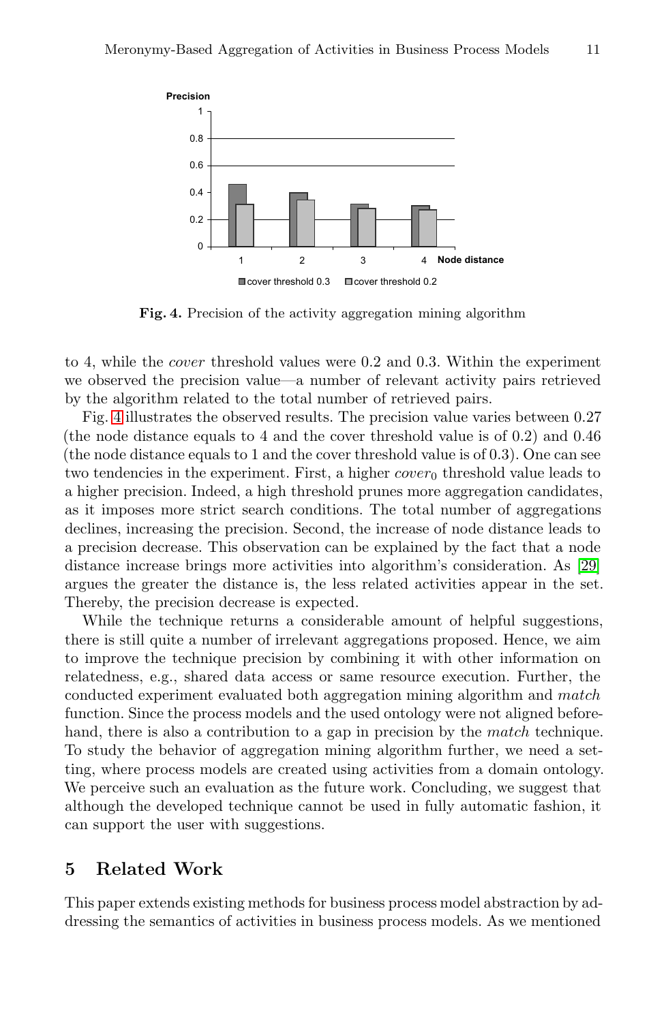

**Fig. 4.** Precision of the activity aggregation mining algorithm

to 4, while the *cover* threshold values were 0.2 and 0.3. Within the experiment we observed the precision value—a number of relevant activity pairs retrieved by the algorithm related to the total number of retrieved pairs.

Fig. 4 illustrates the observed results. The precision va[lue](#page-14-10) varies between 0.27 (the node distance equals to 4 and the cover threshold value is of  $(0.2)$ ) and  $(0.46)$ (the node distance equals to 1 and the cover threshold value is of 0.3). One can see two tendencies in the experiment. First, a higher  $cover_0$  threshold value leads to a higher precision. Indeed, a high threshold prunes more aggregation candidates, as it imposes more strict search conditions. The total number of aggregations declines, increasing the precision. Second, the increase of node distance leads to a precision decrease. This observation can be explained by the fact that a node distance increase brings more activities into algorithm's consideration. As [29] argues the greater the distance is, the less related activities appear in the set. Thereby, the precision decrease is expected.

<span id="page-11-0"></span>While the technique returns a considerable amount of helpful suggestions, there is still quite a number of irrelevant aggregations proposed. Hence, we aim to improve the technique precision by combining it with other information on relatedness, e.g., shared data access or same resource execution. Further, the conducted experiment evaluated both aggregation mining algorithm and *match* function. Since the process models and the used ontology were not aligned beforehand, there is also a contribution to a gap in precision by the *match* technique. To study the behavior of aggregation mining algorithm further, we need a setting, where process models are created using activities from a domain ontology. We perceive such an evaluation as the future work. Concluding, we suggest that although the developed technique cannot be used in fully automatic fashion, it can support the user with suggestions.

# **5 Related Work**

This paper extends existing methods for business process model abstraction by addressing the semantics of activities in business process models. As we mentioned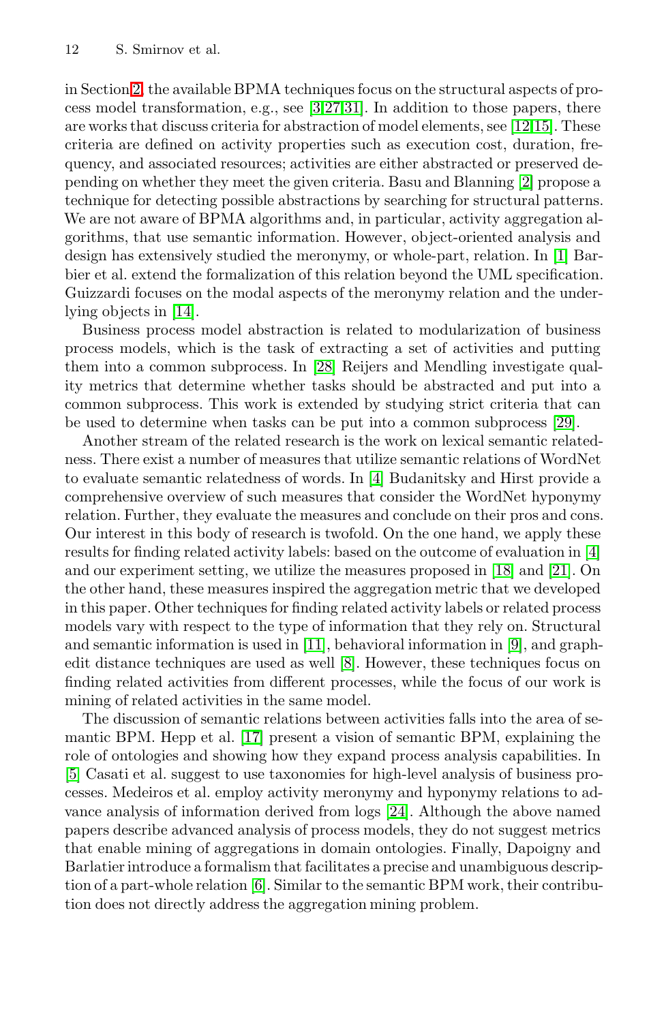in Section 2, the available BPMA techniques focus on the structural aspects of process model transformation, e.g., see [3,27,31]. In addi[tio](#page-13-5)n to those papers, there are works that discuss criteria for abstraction of model elements, see [12,15]. These criteria are defined on activity properties such as execution cost, duration, frequency, and associated resources; activities are either abstracted or preserved depending on whether they meet the given criteria. Basu and Blanning [2] propose a technique for detecting possible abstractions by searching for structural patterns. We are not aware [of B](#page-14-11)PMA algorithms and, in particular, activity aggregation algorithms, that use semantic information. However, object-oriented analysis and design has extensively studied the meronymy, or whole-part, relation. In [1] Barbier et al. extend the formalization of this relation bey[ond](#page-14-10) the UML specification. Guizzardi focuses on the modal aspects of the meronymy relation and the underlying objects in [14].

Business process model [a](#page-13-4)bstraction is related to modularization of business process models, which is the task of extracting a set of activities and putting them into a common subprocess. In [28] Reijers and Mendling investigate quality metrics that determine whether tasks should be abstracted and put into a common subprocess. This work is extended by studying s[tri](#page-13-4)ct criteria that can be used to determine when tasks can be put [int](#page-14-8)o a c[omm](#page-14-9)on subprocess [29].

Another stream of the related research is the work on lexical semantic relatedness. There exist a number of measures that utilize semantic relations of WordNet to evaluate semantic relatedness of words. In [4] Budanitsky and Hirst provide a comprehensive o[verv](#page-14-12)iew of such measures that [co](#page-13-6)nsider the WordNet hyponymy relation. Further, they [ev](#page-13-3)aluate the measures and conclude on their pros and cons. Our interest in this body of research is twofold. On the one hand, we apply these results for finding related activity labels: based on the outcome of evaluation in [4] and our experiment setting, we utilize the measures proposed in [18] and [21]. On the oth[er h](#page-14-13)and, these measures inspired the aggregation metric that we developed in this paper. Other techniques for finding related activity labels or related process models vary with respect to the type of information that they rely on. Structural and semantic information is used in [11], behavioral information in [9], and graphedit distance techniques are [used](#page-14-14) as well [8]. However, these techniques focus on finding related activities from different processes, while the focus of our work is mining of related activities in the same model.

The discussion of semantic relations between activities falls into the area of semantic [BP](#page-13-7)M. Hepp et al. [17] present a vision of semantic BPM, explaining the role of ontologies and showing how they expand process analysis capabilities. In [5] Casati et al. suggest to use taxonomies for high-level analysis of business processes. Medeiros et al. employ activity meronymy and hyponymy relations to advance analysis of information derived from logs [24]. Although the above named papers describe advanced analysis of process models, they do not suggest metrics that enable mining of aggregations in domain ontologies. Finally, Dapoigny and Barlatier introduce a formalism that facilitates a precise and unambiguous description of a part-whole relation [6]. Similar to the semantic BPM work, their contribution does not directly address the aggregation mining problem.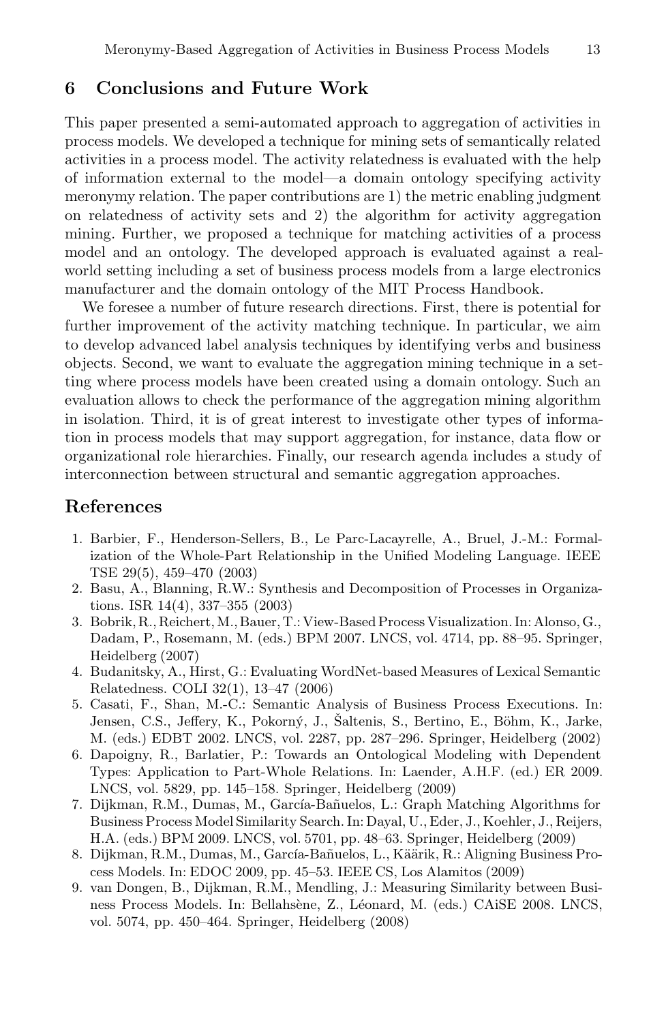# <span id="page-13-2"></span>**6 Conclusions and Future Work**

This paper presented a semi-automated approach to aggregation of activities in process models. We developed a technique for mining sets of semantically related activities in a process model. The activity relatedness is evaluated with the help of information external to the model—a domain ontology specifying activity meronymy relation. The paper contributions are 1) the metric enabling judgment on relatedness of activity sets and 2) the algorithm for activity aggregation mining. Further, we proposed a technique for matching activities of a process model and an ontology. The developed approach is evaluated against a realworld setting including a set of business process models from a large electronics manufacturer and the domain ontology of the MIT Process Handbook.

We foresee a number of future research directions. First, there is potential for further improvement of the activity matching technique. In particular, we aim to develop advanced label analysis techniques by identifying verbs and business objects. Second, we want to evaluate the aggregation mining technique in a setting where process models have been created using a domain ontology. Such an evaluation allows to check the performance of the aggregation mining algorithm in isolation. Third, it is of great interest to investigate other types of information in process models that may support aggregation, for instance, data flow or organizational role hierarchies. Finally, our research agenda includes a study of interconnection between structural and semantic aggregation approaches.

# <span id="page-13-5"></span>**References**

- 1. Barbier, F., Henderson-Sellers, B., Le Parc-Lacayrelle, A., Bruel, J.-M.: Formalization of the Whole-Part Relationship in the Unified Modeling Language. IEEE TSE 29(5), 459–470 (2003)
- 2. Basu, A., Blanning, R.W.: Synthesis and Decomposition of Processes in Organizations. ISR 14(4), 337–355 (2003)
- <span id="page-13-1"></span>3. Bobrik, R., Reichert,M., Bauer, T.: View-Based Process Visualization. In: Alonso, G., Dadam, P., Rosemann, M. (eds.) BPM 2007. LNCS, vol. 4714, pp. 88–95. Springer, Heidelberg (2007)
- <span id="page-13-4"></span>4. Budanitsky, A., Hirst, G.: Evaluating WordNet-based Measures of Lexical Semantic Relatedness. COLI 32(1), 13–47 (2006)
- 5. Casati, F., Shan, M.-C.: Semantic Analysis of Business Process Executions. In: Jensen, C.S., Jeffery, K., Pokorný, J., Šaltenis, S., Bertino, E., Böhm, K., Jarke, M. (eds.) EDBT 2002. LNCS, vol. 2287, pp. 287–296. Springer, Heidelberg (2002)
- <span id="page-13-7"></span>6. Dapoigny, R., Barlatier, P.: Towards an Ontological Modeling with Dependent Types: Application to Part-Whole Relations. In: Laender, A.H.F. (ed.) ER 2009. LNCS, vol. 5829, pp. 145–158. Springer, Heidelberg (2009)
- <span id="page-13-0"></span>7. Dijkman, R.M., Dumas, M., García-Bañuelos, L.: Graph Matching Algorithms for Business Process Model Similarity Search. In: Dayal, U., Eder, J., Koehler, J., Reijers, H.A. (eds.) BPM 2009. LNCS, vol. 5701, pp. 48–63. Springer, Heidelberg (2009)
- <span id="page-13-3"></span>8. Dijkman, R.M., Dumas, M., García-Bañuelos, L., Käärik, R.: Aligning Business Process Models. In: EDOC 2009, pp. 45–53. IEEE CS, Los Alamitos (2009)
- <span id="page-13-6"></span>9. van Dongen, B., Dijkman, R.M., Mendling, J.: Measuring Similarity between Business Process Models. In: Bellahsène, Z., Léonard, M. (eds.) CAiSE 2008. LNCS, vol. 5074, pp. 450–464. Springer, Heidelberg (2008)